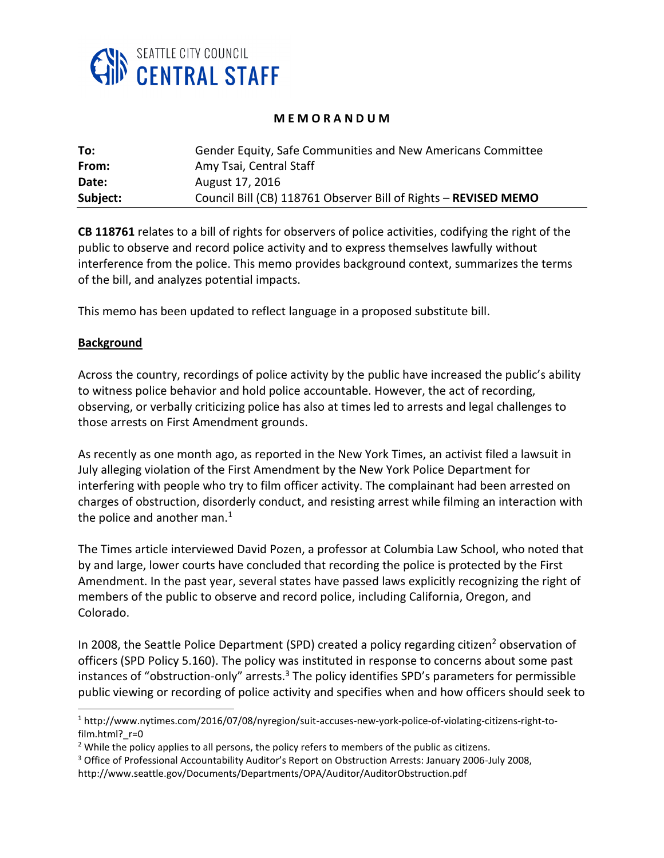

#### **M E M O R A N D U M**

| To:      | Gender Equity, Safe Communities and New Americans Committee     |
|----------|-----------------------------------------------------------------|
| From:    | Amy Tsai, Central Staff                                         |
| Date:    | August 17, 2016                                                 |
| Subject: | Council Bill (CB) 118761 Observer Bill of Rights - REVISED MEMO |

**CB 118761** relates to a bill of rights for observers of police activities, codifying the right of the public to observe and record police activity and to express themselves lawfully without interference from the police. This memo provides background context, summarizes the terms of the bill, and analyzes potential impacts.

This memo has been updated to reflect language in a proposed substitute bill.

#### **Background**

 $\overline{a}$ 

Across the country, recordings of police activity by the public have increased the public's ability to witness police behavior and hold police accountable. However, the act of recording, observing, or verbally criticizing police has also at times led to arrests and legal challenges to those arrests on First Amendment grounds.

As recently as one month ago, as reported in the New York Times, an activist filed a lawsuit in July alleging violation of the First Amendment by the New York Police Department for interfering with people who try to film officer activity. The complainant had been arrested on charges of obstruction, disorderly conduct, and resisting arrest while filming an interaction with the police and another man. $1$ 

The Times article interviewed David Pozen, a professor at Columbia Law School, who noted that by and large, lower courts have concluded that recording the police is protected by the First Amendment. In the past year, several states have passed laws explicitly recognizing the right of members of the public to observe and record police, including California, Oregon, and Colorado.

In 2008, the Seattle Police Department (SPD) created a policy regarding citizen<sup>2</sup> observation of officers (SPD Policy 5.160). The policy was instituted in response to concerns about some past instances of "obstruction-only" arrests.<sup>3</sup> The policy identifies SPD's parameters for permissible public viewing or recording of police activity and specifies when and how officers should seek to

<sup>1</sup> http://www.nytimes.com/2016/07/08/nyregion/suit-accuses-new-york-police-of-violating-citizens-right-tofilm.html?\_r=0

<sup>&</sup>lt;sup>2</sup> While the policy applies to all persons, the policy refers to members of the public as citizens.

<sup>3</sup> Office of Professional Accountability Auditor's Report on Obstruction Arrests: January 2006-July 2008,

http://www.seattle.gov/Documents/Departments/OPA/Auditor/AuditorObstruction.pdf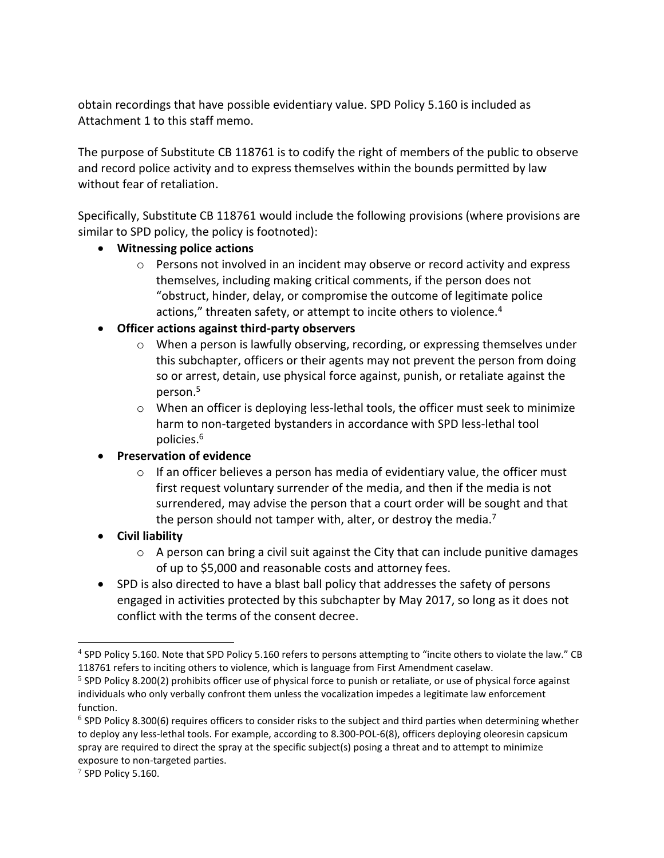obtain recordings that have possible evidentiary value. SPD Policy 5.160 is included as Attachment 1 to this staff memo.

The purpose of Substitute CB 118761 is to codify the right of members of the public to observe and record police activity and to express themselves within the bounds permitted by law without fear of retaliation.

Specifically, Substitute CB 118761 would include the following provisions (where provisions are similar to SPD policy, the policy is footnoted):

- **Witnessing police actions**
	- $\circ$  Persons not involved in an incident may observe or record activity and express themselves, including making critical comments, if the person does not "obstruct, hinder, delay, or compromise the outcome of legitimate police actions," threaten safety, or attempt to incite others to violence.<sup>4</sup>
- **Officer actions against third-party observers**
	- $\circ$  When a person is lawfully observing, recording, or expressing themselves under this subchapter, officers or their agents may not prevent the person from doing so or arrest, detain, use physical force against, punish, or retaliate against the person.<sup>5</sup>
	- $\circ$  When an officer is deploying less-lethal tools, the officer must seek to minimize harm to non-targeted bystanders in accordance with SPD less-lethal tool policies.<sup>6</sup>

## **Preservation of evidence**

- $\circ$  If an officer believes a person has media of evidentiary value, the officer must first request voluntary surrender of the media, and then if the media is not surrendered, may advise the person that a court order will be sought and that the person should not tamper with, alter, or destroy the media.<sup>7</sup>
- **Civil liability**
	- $\circ$  A person can bring a civil suit against the City that can include punitive damages of up to \$5,000 and reasonable costs and attorney fees.
- SPD is also directed to have a blast ball policy that addresses the safety of persons engaged in activities protected by this subchapter by May 2017, so long as it does not conflict with the terms of the consent decree.

 $\overline{a}$ 

<sup>&</sup>lt;sup>4</sup> SPD Policy 5.160. Note that SPD Policy 5.160 refers to persons attempting to "incite others to violate the law." CB 118761 refers to inciting others to violence, which is language from First Amendment caselaw.

<sup>&</sup>lt;sup>5</sup> SPD Policy 8.200(2) prohibits officer use of physical force to punish or retaliate, or use of physical force against individuals who only verbally confront them unless the vocalization impedes a legitimate law enforcement function.

 $^6$  SPD Policy 8.300(6) requires officers to consider risks to the subject and third parties when determining whether to deploy any less-lethal tools. For example, according to 8.300-POL-6(8), officers deploying oleoresin capsicum spray are required to direct the spray at the specific subject(s) posing a threat and to attempt to minimize exposure to non-targeted parties.

 $7$  SPD Policy 5.160.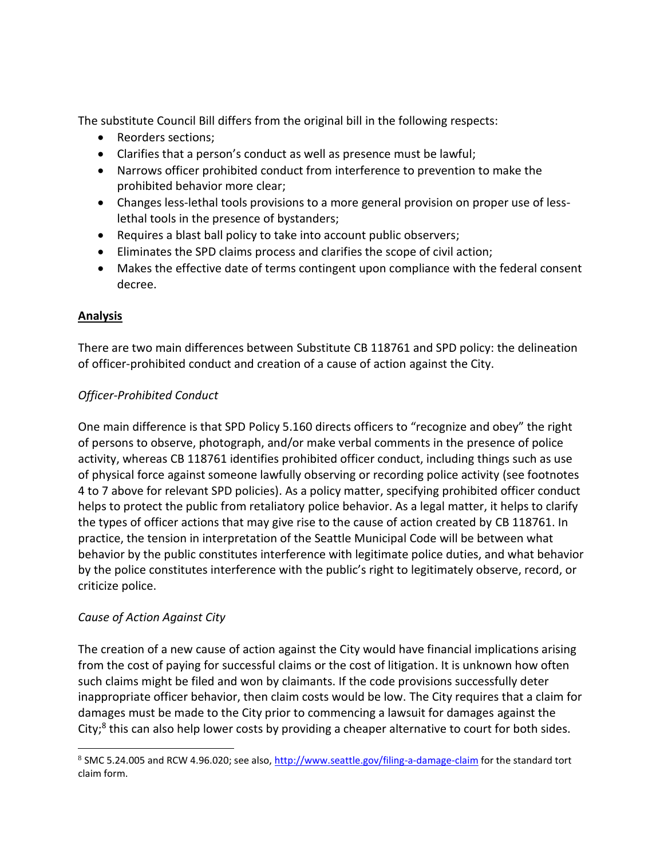The substitute Council Bill differs from the original bill in the following respects:

- Reorders sections;
- Clarifies that a person's conduct as well as presence must be lawful;
- Narrows officer prohibited conduct from interference to prevention to make the prohibited behavior more clear;
- Changes less-lethal tools provisions to a more general provision on proper use of lesslethal tools in the presence of bystanders;
- Requires a blast ball policy to take into account public observers;
- Eliminates the SPD claims process and clarifies the scope of civil action;
- Makes the effective date of terms contingent upon compliance with the federal consent decree.

# **Analysis**

There are two main differences between Substitute CB 118761 and SPD policy: the delineation of officer-prohibited conduct and creation of a cause of action against the City.

# *Officer-Prohibited Conduct*

One main difference is that SPD Policy 5.160 directs officers to "recognize and obey" the right of persons to observe, photograph, and/or make verbal comments in the presence of police activity, whereas CB 118761 identifies prohibited officer conduct, including things such as use of physical force against someone lawfully observing or recording police activity (see footnotes 4 to 7 above for relevant SPD policies). As a policy matter, specifying prohibited officer conduct helps to protect the public from retaliatory police behavior. As a legal matter, it helps to clarify the types of officer actions that may give rise to the cause of action created by CB 118761. In practice, the tension in interpretation of the Seattle Municipal Code will be between what behavior by the public constitutes interference with legitimate police duties, and what behavior by the police constitutes interference with the public's right to legitimately observe, record, or criticize police.

## *Cause of Action Against City*

l

The creation of a new cause of action against the City would have financial implications arising from the cost of paying for successful claims or the cost of litigation. It is unknown how often such claims might be filed and won by claimants. If the code provisions successfully deter inappropriate officer behavior, then claim costs would be low. The City requires that a claim for damages must be made to the City prior to commencing a lawsuit for damages against the City;<sup>8</sup> this can also help lower costs by providing a cheaper alternative to court for both sides.

<sup>&</sup>lt;sup>8</sup> SMC 5.24.005 and RCW 4.96.020; see also,<http://www.seattle.gov/filing-a-damage-claim> for the standard tort claim form.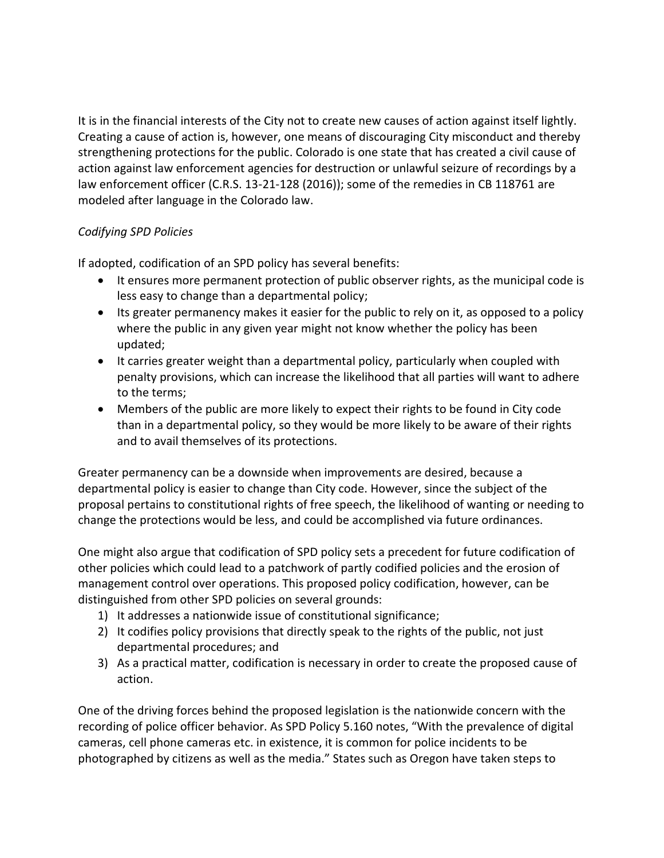It is in the financial interests of the City not to create new causes of action against itself lightly. Creating a cause of action is, however, one means of discouraging City misconduct and thereby strengthening protections for the public. Colorado is one state that has created a civil cause of action against law enforcement agencies for destruction or unlawful seizure of recordings by a law enforcement officer (C.R.S. 13-21-128 (2016)); some of the remedies in CB 118761 are modeled after language in the Colorado law.

# *Codifying SPD Policies*

If adopted, codification of an SPD policy has several benefits:

- It ensures more permanent protection of public observer rights, as the municipal code is less easy to change than a departmental policy;
- Its greater permanency makes it easier for the public to rely on it, as opposed to a policy where the public in any given year might not know whether the policy has been updated;
- It carries greater weight than a departmental policy, particularly when coupled with penalty provisions, which can increase the likelihood that all parties will want to adhere to the terms;
- Members of the public are more likely to expect their rights to be found in City code than in a departmental policy, so they would be more likely to be aware of their rights and to avail themselves of its protections.

Greater permanency can be a downside when improvements are desired, because a departmental policy is easier to change than City code. However, since the subject of the proposal pertains to constitutional rights of free speech, the likelihood of wanting or needing to change the protections would be less, and could be accomplished via future ordinances.

One might also argue that codification of SPD policy sets a precedent for future codification of other policies which could lead to a patchwork of partly codified policies and the erosion of management control over operations. This proposed policy codification, however, can be distinguished from other SPD policies on several grounds:

- 1) It addresses a nationwide issue of constitutional significance;
- 2) It codifies policy provisions that directly speak to the rights of the public, not just departmental procedures; and
- 3) As a practical matter, codification is necessary in order to create the proposed cause of action.

One of the driving forces behind the proposed legislation is the nationwide concern with the recording of police officer behavior. As SPD Policy 5.160 notes, "With the prevalence of digital cameras, cell phone cameras etc. in existence, it is common for police incidents to be photographed by citizens as well as the media." States such as Oregon have taken steps to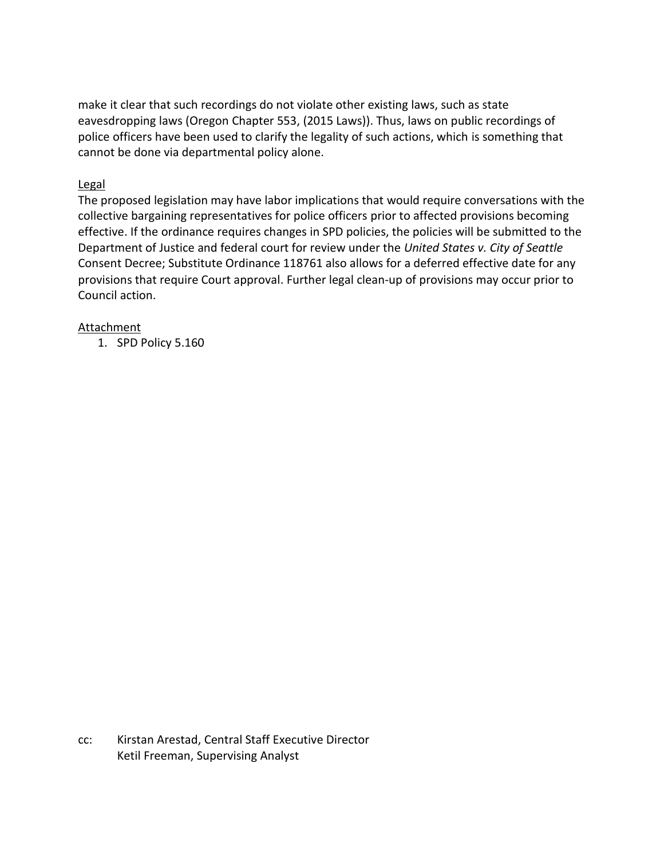make it clear that such recordings do not violate other existing laws, such as state eavesdropping laws (Oregon Chapter 553, (2015 Laws)). Thus, laws on public recordings of police officers have been used to clarify the legality of such actions, which is something that cannot be done via departmental policy alone.

#### Legal

The proposed legislation may have labor implications that would require conversations with the collective bargaining representatives for police officers prior to affected provisions becoming effective. If the ordinance requires changes in SPD policies, the policies will be submitted to the Department of Justice and federal court for review under the *United States v. City of Seattle*  Consent Decree; Substitute Ordinance 118761 also allows for a deferred effective date for any provisions that require Court approval. Further legal clean-up of provisions may occur prior to Council action.

#### **Attachment**

1. SPD Policy 5.160

cc: Kirstan Arestad, Central Staff Executive Director Ketil Freeman, Supervising Analyst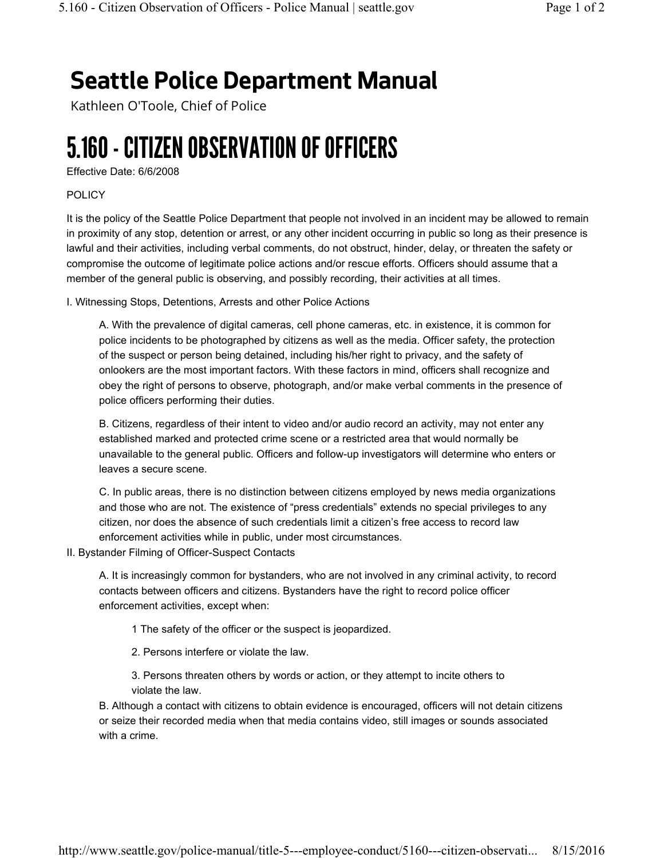# Seattle Police Department Manual

Kathleen O'Toole, Chief of Police

# 5.160 - CITIZEN OBSERVATION OF OFFICERS

Effective Date: 6/6/2008

#### POLICY

It is the policy of the Seattle Police Department that people not involved in an incident may be allowed to remain in proximity of any stop, detention or arrest, or any other incident occurring in public so long as their presence is lawful and their activities, including verbal comments, do not obstruct, hinder, delay, or threaten the safety or compromise the outcome of legitimate police actions and/or rescue efforts. Officers should assume that a member of the general public is observing, and possibly recording, their activities at all times.

I. Witnessing Stops, Detentions, Arrests and other Police Actions

A. With the prevalence of digital cameras, cell phone cameras, etc. in existence, it is common for police incidents to be photographed by citizens as well as the media. Officer safety, the protection of the suspect or person being detained, including his/her right to privacy, and the safety of onlookers are the most important factors. With these factors in mind, officers shall recognize and obey the right of persons to observe, photograph, and/or make verbal comments in the presence of police officers performing their duties.

B. Citizens, regardless of their intent to video and/or audio record an activity, may not enter any established marked and protected crime scene or a restricted area that would normally be unavailable to the general public. Officers and follow-up investigators will determine who enters or leaves a secure scene.

C. In public areas, there is no distinction between citizens employed by news media organizations and those who are not. The existence of "press credentials" extends no special privileges to any citizen, nor does the absence of such credentials limit a citizen's free access to record law enforcement activities while in public, under most circumstances.

II. Bystander Filming of Officer-Suspect Contacts

A. It is increasingly common for bystanders, who are not involved in any criminal activity, to record contacts between officers and citizens. Bystanders have the right to record police officer enforcement activities, except when:

1 The safety of the officer or the suspect is jeopardized.

- 2. Persons interfere or violate the law.
- 3. Persons threaten others by words or action, or they attempt to incite others to violate the law.

B. Although a contact with citizens to obtain evidence is encouraged, officers will not detain citizens or seize their recorded media when that media contains video, still images or sounds associated with a crime.